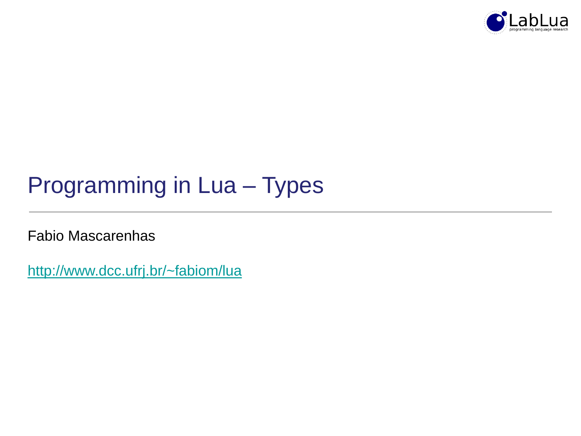

# Programming in Lua – Types

Fabio Mascarenhas

<http://www.dcc.ufrj.br/~fabiom/lua>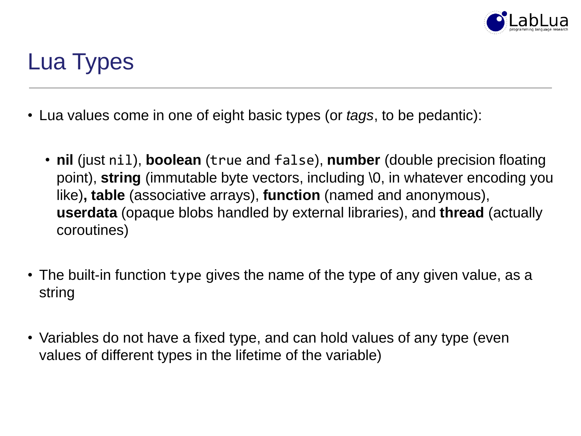

# Lua Types

- Lua values come in one of eight basic types (or *tags*, to be pedantic):
	- **nil** (just nil), **boolean** (true and false), **number** (double precision floating point), **string** (immutable byte vectors, including \0, in whatever encoding you like)**, table** (associative arrays), **function** (named and anonymous), **userdata** (opaque blobs handled by external libraries), and **thread** (actually coroutines)
- The built-in function type gives the name of the type of any given value, as a string
- Variables do not have a fixed type, and can hold values of any type (even values of different types in the lifetime of the variable)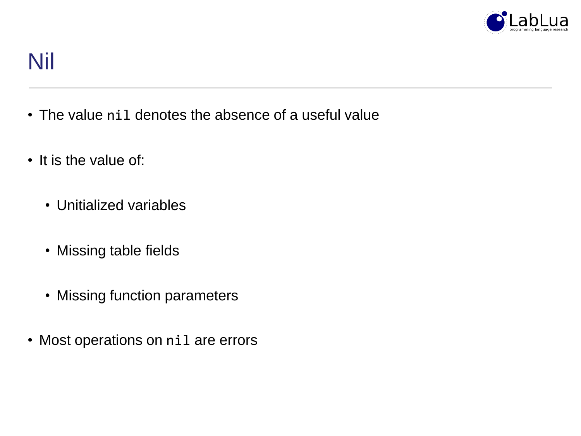

## Nil

- The value nil denotes the absence of a useful value
- It is the value of:
	- Unitialized variables
	- Missing table fields
	- Missing function parameters
- Most operations on nil are errors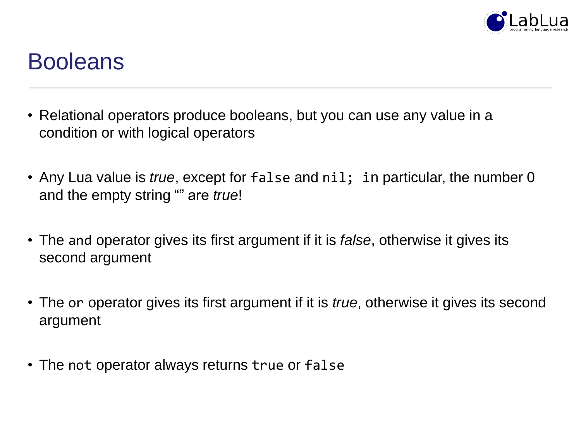

#### **Booleans**

- Relational operators produce booleans, but you can use any value in a condition or with logical operators
- Any Lua value is *true*, except for false and nil; in particular, the number 0 and the empty string "" are *true*!
- The and operator gives its first argument if it is *false*, otherwise it gives its second argument
- The or operator gives its first argument if it is *true*, otherwise it gives its second argument
- The not operator always returns true or false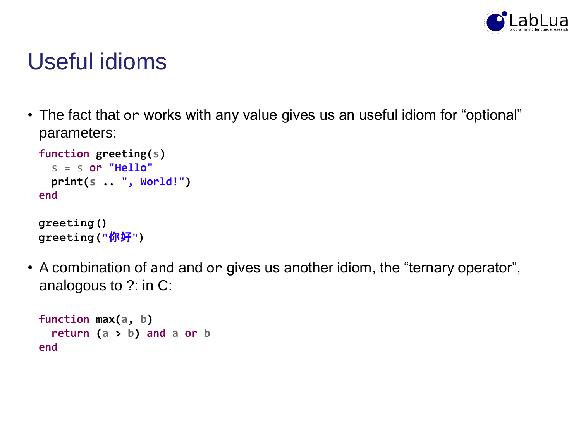

## Useful idioms

• The fact that or works with any value gives us an useful idiom for "optional" parameters:

```
function greeting(s)
  s = s or "Hello"
 print(s .. ", World!")
end
greeting()
greeting("你好")
```
• A combination of and and or gives us another idiom, the "ternary operator", analogous to ?: in C:

```
function max(a, b)
 return (a > b) and a or b
end
```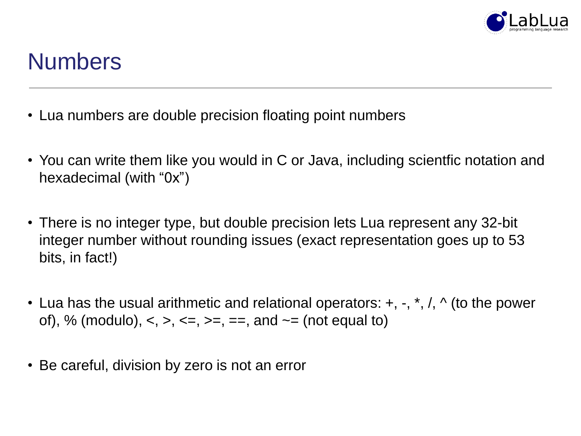

## Numbers

- Lua numbers are double precision floating point numbers
- You can write them like you would in C or Java, including scientfic notation and hexadecimal (with "0x")
- There is no integer type, but double precision lets Lua represent any 32-bit integer number without rounding issues (exact representation goes up to 53 bits, in fact!)
- Lua has the usual arithmetic and relational operators:  $+, -, *, /, \wedge$  (to the power of), % (modulo),  $\lt$ ,  $\gt$ ,  $\lt$ =,  $\gt$ =,  $\gt$ =, and  $\lt$ = (not equal to)
- Be careful, division by zero is not an error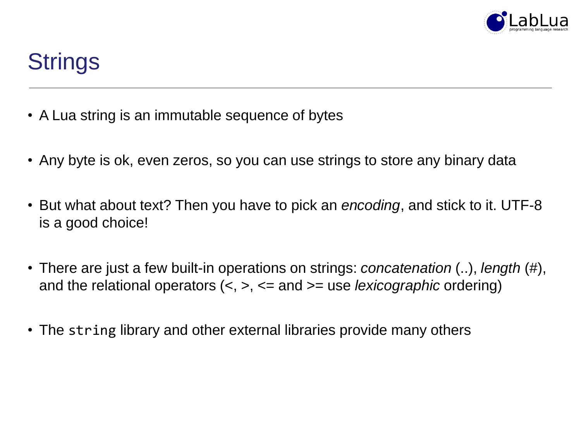

# **Strings**

- A Lua string is an immutable sequence of bytes
- Any byte is ok, even zeros, so you can use strings to store any binary data
- But what about text? Then you have to pick an *encoding*, and stick to it. UTF-8 is a good choice!
- There are just a few built-in operations on strings: *concatenation* (..), *length* (#), and the relational operators (<, >, <= and >= use *lexicographic* ordering)
- The string library and other external libraries provide many others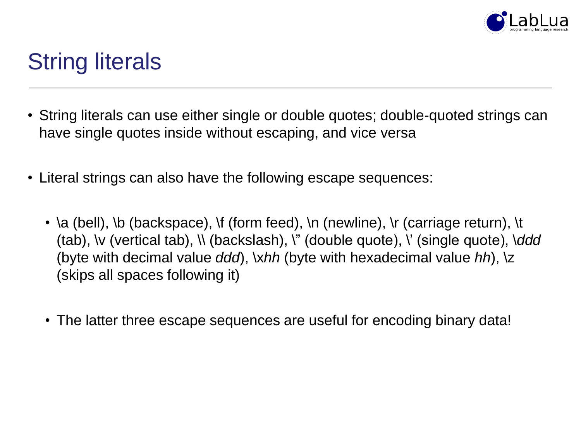

# String literals

- String literals can use either single or double quotes; double-quoted strings can have single quotes inside without escaping, and vice versa
- Literal strings can also have the following escape sequences:
	- \a (bell), \b (backspace),  $\setminus$  (form feed),  $\setminus$ n (newline),  $\setminus$ r (carriage return),  $\setminus$ t (tab), \v (vertical tab), \\ (backslash), \" (double quote), \' (single quote), \*ddd* (byte with decimal value *ddd*), \x*hh* (byte with hexadecimal value *hh*), \z (skips all spaces following it)
	- The latter three escape sequences are useful for encoding binary data!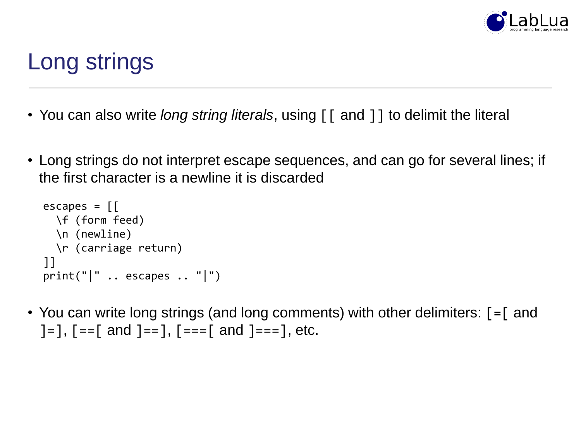

# Long strings

- You can also write *long string literals*, using [[ and ]] to delimit the literal
- Long strings do not interpret escape sequences, and can go for several lines; if the first character is a newline it is discarded

```
escapes = \lceil \cdot \rceil\f (form feed)
  \n (newline)
  \r (carriage return)
]]
print("|" .. escapes .. "|")
```
• You can write long strings (and long comments) with other delimiters: [=[ and  $]=$ ],  $[==[$  and  $] ==$ ],  $[ == [$  and  $] ==$ ], etc.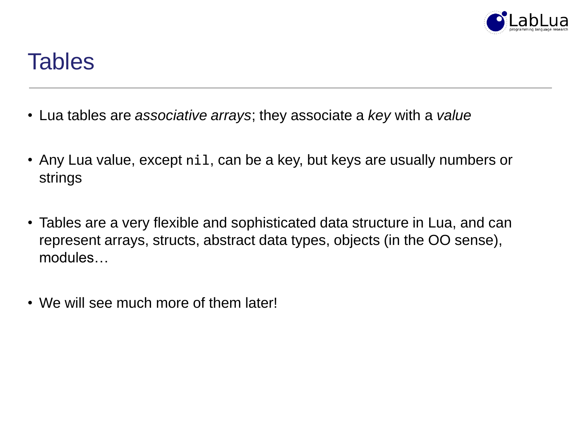

#### **Tables**

- Lua tables are *associative arrays*; they associate a *key* with a *value*
- Any Lua value, except nil, can be a key, but keys are usually numbers or strings
- Tables are a very flexible and sophisticated data structure in Lua, and can represent arrays, structs, abstract data types, objects (in the OO sense), modules…
- We will see much more of them later!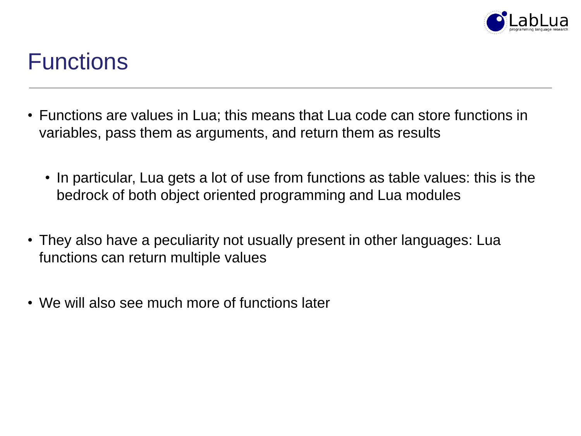

## **Functions**

- Functions are values in Lua; this means that Lua code can store functions in variables, pass them as arguments, and return them as results
	- In particular, Lua gets a lot of use from functions as table values: this is the bedrock of both object oriented programming and Lua modules
- They also have a peculiarity not usually present in other languages: Lua functions can return multiple values
- We will also see much more of functions later